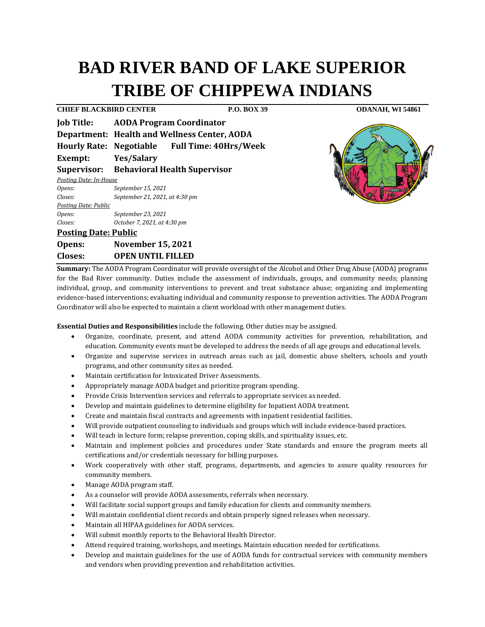# **BAD RIVER BAND OF LAKE SUPERIOR TRIBE OF CHIPPEWA INDIANS**

**CHIEF BLACKBIRD CENTER P.O. BOX 39 ODANAH, WI 54861 Job Title: AODA Program Coordinator Department: Health and Wellness Center, AODA Hourly Rate: Negotiable Full Time: 40Hrs/Week Exempt: Yes/Salary Supervisor: Behavioral Health Supervisor** *Posting Date: In-House Opens: September 15, 2021 Closes: September 21, 2021, at 4:30 pm Posting Date: Public Opens: September 23, 2021 Closes: October 7, 2021, at 4:30 pm* **Posting Date: Public Opens: November 15, 2021 Closes: OPEN UNTIL FILLED** 

**Summary:** The AODA Program Coordinator will provide oversight of the Alcohol and Other Drug Abuse (AODA) programs for the Bad River community. Duties include the assessment of individuals, groups, and community needs; planning individual, group, and community interventions to prevent and treat substance abuse; organizing and implementing evidence-based interventions; evaluating individual and community response to prevention activities. The AODA Program Coordinator will also be expected to maintain a client workload with other management duties.

**Essential Duties and Responsibilities** include the following. Other duties may be assigned.

- Organize, coordinate, present, and attend AODA community activities for prevention, rehabilitation, and education. Community events must be developed to address the needs of all age groups and educational levels.
- Organize and supervise services in outreach areas such as jail, domestic abuse shelters, schools and youth programs, and other community sites as needed.
- Maintain certification for Intoxicated Driver Assessments.
- Appropriately manage AODA budget and prioritize program spending.
- Provide Crisis Intervention services and referrals to appropriate services as needed.
- Develop and maintain guidelines to determine eligibility for Inpatient AODA treatment.
- Create and maintain fiscal contracts and agreements with inpatient residential facilities.
- Will provide outpatient counseling to individuals and groups which will include evidence-based practices.
- Will teach in lecture form; relapse prevention, coping skills, and spirituality issues, etc.
- Maintain and implement policies and procedures under State standards and ensure the program meets all certifications and/or credentials necessary for billing purposes.
- Work cooperatively with other staff, programs, departments, and agencies to assure quality resources for community members.
- Manage AODA program staff.
- As a counselor will provide AODA assessments, referrals when necessary.
- Will facilitate social support groups and family education for clients and community members.
- Will maintain confidential client records and obtain properly signed releases when necessary.
- Maintain all HIPAA guidelines for AODA services.
- Will submit monthly reports to the Behavioral Health Director.
- Attend required training, workshops, and meetings. Maintain education needed for certifications.
- Develop and maintain guidelines for the use of AODA funds for contractual services with community members and vendors when providing prevention and rehabilitation activities.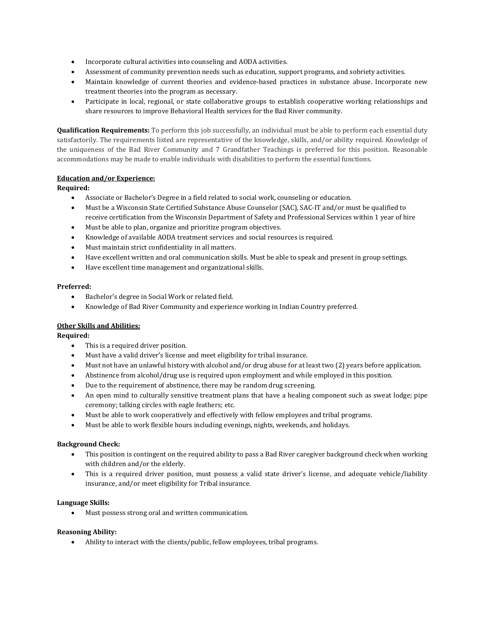- Incorporate cultural activities into counseling and AODA activities.
- Assessment of community prevention needs such as education, support programs, and sobriety activities.
- Maintain knowledge of current theories and evidence-based practices in substance abuse. Incorporate new treatment theories into the program as necessary.
- Participate in local, regional, or state collaborative groups to establish cooperative working relationships and share resources to improve Behavioral Health services for the Bad River community.

**Qualification Requirements:** To perform this job successfully, an individual must be able to perform each essential duty satisfactorily. The requirements listed are representative of the knowledge, skills, and/or ability required. Knowledge of the uniqueness of the Bad River Community and 7 Grandfather Teachings is preferred for this position. Reasonable accommodations may be made to enable individuals with disabilities to perform the essential functions.

### **Education and/or Experience:**

## **Required:**

- Associate or Bachelor's Degree in a field related to social work, counseling or education.
- Must be a Wisconsin State Certified Substance Abuse Counselor (SAC), SAC-IT and/or must be qualified to receive certification from the Wisconsin Department of Safety and Professional Services within 1 year of hire
- Must be able to plan, organize and prioritize program objectives.
- Knowledge of available AODA treatment services and social resources is required.
- Must maintain strict confidentiality in all matters.
- Have excellent written and oral communication skills. Must be able to speak and present in group settings.
- Have excellent time management and organizational skills.

### **Preferred:**

- Bachelor's degree in Social Work or related field.
- Knowledge of Bad River Community and experience working in Indian Country preferred.

### **Other Skills and Abilities:**

### **Required:**

- This is a required driver position.
- Must have a valid driver's license and meet eligibility for tribal insurance.
- Must not have an unlawful history with alcohol and/or drug abuse for at least two (2) years before application.
- Abstinence from alcohol/drug use is required upon employment and while employed in this position.
- Due to the requirement of abstinence, there may be random drug screening.
- An open mind to culturally sensitive treatment plans that have a healing component such as sweat lodge; pipe ceremony; talking circles with eagle feathers; etc.
- Must be able to work cooperatively and effectively with fellow employees and tribal programs.
- Must be able to work flexible hours including evenings, nights, weekends, and holidays.

### **Background Check:**

- This position is contingent on the required ability to pass a Bad River caregiver background check when working with children and/or the elderly.
- This is a required driver position, must possess a valid state driver's license, and adequate vehicle/liability insurance, and/or meet eligibility for Tribal insurance.

### **Language Skills:**

• Must possess strong oral and written communication.

### **Reasoning Ability:**

• Ability to interact with the clients/public, fellow employees, tribal programs.